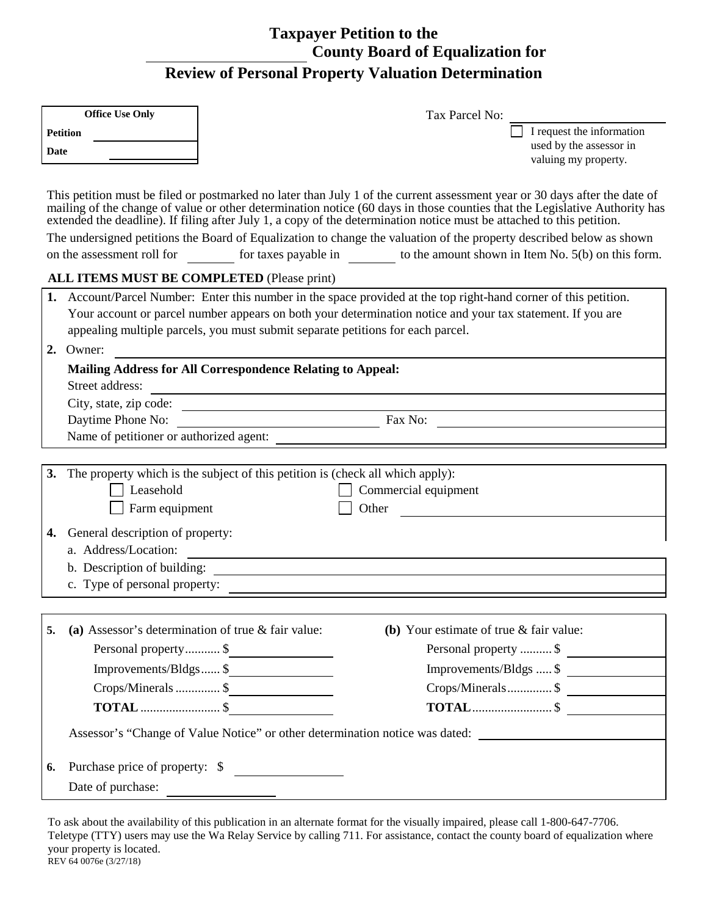## **Taxpayer Petition to the County Board of Equalization for Review of Personal Property Valuation Determination**

| <b>Office Use Only</b>                                                                                                                                                                                                                                                                                                                                                                                                                                                                                                                                                                                                      | Tax Parcel No:                                                                                                                                                                                                                                                                                                    |  |  |  |  |
|-----------------------------------------------------------------------------------------------------------------------------------------------------------------------------------------------------------------------------------------------------------------------------------------------------------------------------------------------------------------------------------------------------------------------------------------------------------------------------------------------------------------------------------------------------------------------------------------------------------------------------|-------------------------------------------------------------------------------------------------------------------------------------------------------------------------------------------------------------------------------------------------------------------------------------------------------------------|--|--|--|--|
| <b>Petition</b>                                                                                                                                                                                                                                                                                                                                                                                                                                                                                                                                                                                                             | I request the information                                                                                                                                                                                                                                                                                         |  |  |  |  |
| Date                                                                                                                                                                                                                                                                                                                                                                                                                                                                                                                                                                                                                        | used by the assessor in<br>valuing my property.                                                                                                                                                                                                                                                                   |  |  |  |  |
|                                                                                                                                                                                                                                                                                                                                                                                                                                                                                                                                                                                                                             |                                                                                                                                                                                                                                                                                                                   |  |  |  |  |
| This petition must be filed or postmarked no later than July 1 of the current assessment year or 30 days after the date of<br>mailing of the change of value or other determination notice (60 days in those counties that the Legislative Authority has<br>extended the deadline). If filing after July 1, a copy of the determination notice must be attached to this petition.<br>The undersigned petitions the Board of Equalization to change the valuation of the property described below as shown<br>for taxes payable in $\qquad$ to the amount shown in Item No. 5(b) on this form.<br>on the assessment roll for |                                                                                                                                                                                                                                                                                                                   |  |  |  |  |
| ALL ITEMS MUST BE COMPLETED (Please print)                                                                                                                                                                                                                                                                                                                                                                                                                                                                                                                                                                                  |                                                                                                                                                                                                                                                                                                                   |  |  |  |  |
|                                                                                                                                                                                                                                                                                                                                                                                                                                                                                                                                                                                                                             | 1. Account/Parcel Number: Enter this number in the space provided at the top right-hand corner of this petition.<br>Your account or parcel number appears on both your determination notice and your tax statement. If you are<br>appealing multiple parcels, you must submit separate petitions for each parcel. |  |  |  |  |
| 2. Owner:                                                                                                                                                                                                                                                                                                                                                                                                                                                                                                                                                                                                                   |                                                                                                                                                                                                                                                                                                                   |  |  |  |  |
|                                                                                                                                                                                                                                                                                                                                                                                                                                                                                                                                                                                                                             | <b>Mailing Address for All Correspondence Relating to Appeal:</b>                                                                                                                                                                                                                                                 |  |  |  |  |
| Street address:                                                                                                                                                                                                                                                                                                                                                                                                                                                                                                                                                                                                             | <u> 1989 - Johann Barn, mars ar breithinn ar chuid ann an t-Alban ann an t-Alban ann an t-Alban ann an t-Alban a</u>                                                                                                                                                                                              |  |  |  |  |
|                                                                                                                                                                                                                                                                                                                                                                                                                                                                                                                                                                                                                             | City, state, zip code:                                                                                                                                                                                                                                                                                            |  |  |  |  |
|                                                                                                                                                                                                                                                                                                                                                                                                                                                                                                                                                                                                                             | Fax No: $\qquad \qquad$<br>Daytime Phone No:                                                                                                                                                                                                                                                                      |  |  |  |  |
|                                                                                                                                                                                                                                                                                                                                                                                                                                                                                                                                                                                                                             |                                                                                                                                                                                                                                                                                                                   |  |  |  |  |
| 3.<br>Leasehold<br>Farm equipment                                                                                                                                                                                                                                                                                                                                                                                                                                                                                                                                                                                           | The property which is the subject of this petition is (check all which apply):<br>Commercial equipment<br>Other                                                                                                                                                                                                   |  |  |  |  |
| General description of property:<br>4.                                                                                                                                                                                                                                                                                                                                                                                                                                                                                                                                                                                      |                                                                                                                                                                                                                                                                                                                   |  |  |  |  |
| a. Address/Location:                                                                                                                                                                                                                                                                                                                                                                                                                                                                                                                                                                                                        | <u> 1980 - Andrea Stadt Britain, amerikansk politik (d. 1980)</u>                                                                                                                                                                                                                                                 |  |  |  |  |
|                                                                                                                                                                                                                                                                                                                                                                                                                                                                                                                                                                                                                             |                                                                                                                                                                                                                                                                                                                   |  |  |  |  |
| c. Type of personal property:                                                                                                                                                                                                                                                                                                                                                                                                                                                                                                                                                                                               |                                                                                                                                                                                                                                                                                                                   |  |  |  |  |
|                                                                                                                                                                                                                                                                                                                                                                                                                                                                                                                                                                                                                             |                                                                                                                                                                                                                                                                                                                   |  |  |  |  |
| 5.                                                                                                                                                                                                                                                                                                                                                                                                                                                                                                                                                                                                                          | (a) Assessor's determination of true $&$ fair value:<br>(b) Your estimate of true $&$ fair value:                                                                                                                                                                                                                 |  |  |  |  |
|                                                                                                                                                                                                                                                                                                                                                                                                                                                                                                                                                                                                                             | Personal property \$<br>Personal property  \$                                                                                                                                                                                                                                                                     |  |  |  |  |
|                                                                                                                                                                                                                                                                                                                                                                                                                                                                                                                                                                                                                             | Improvements/Bldgs \$<br>Improvements/Bldgs  \$                                                                                                                                                                                                                                                                   |  |  |  |  |
|                                                                                                                                                                                                                                                                                                                                                                                                                                                                                                                                                                                                                             | Crops/Minerals  \$<br>Crops/Minerals \$                                                                                                                                                                                                                                                                           |  |  |  |  |
|                                                                                                                                                                                                                                                                                                                                                                                                                                                                                                                                                                                                                             | $TOTAL … … … … … … … …  $$                                                                                                                                                                                                                                                                                        |  |  |  |  |
|                                                                                                                                                                                                                                                                                                                                                                                                                                                                                                                                                                                                                             | Assessor's "Change of Value Notice" or other determination notice was dated: _______________________                                                                                                                                                                                                              |  |  |  |  |
| 6.                                                                                                                                                                                                                                                                                                                                                                                                                                                                                                                                                                                                                          | Purchase price of property: \$                                                                                                                                                                                                                                                                                    |  |  |  |  |
| Date of purchase:                                                                                                                                                                                                                                                                                                                                                                                                                                                                                                                                                                                                           |                                                                                                                                                                                                                                                                                                                   |  |  |  |  |

To ask about the availability of this publication in an alternate format for the visually impaired, please call 1-800-647-7706. Teletype (TTY) users may use the Wa Relay Service by calling 711. For assistance, contact the county board of equalization where your property is located. REV 64 0076e (3/27/18)